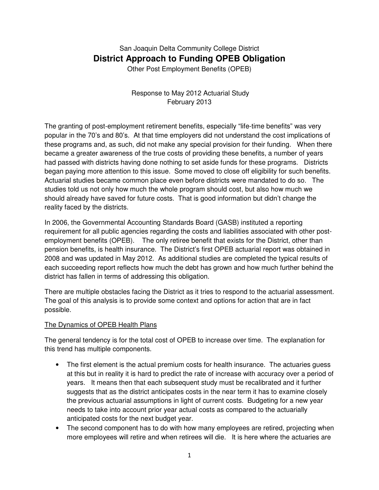# San Joaquin Delta Community College District **District Approach to Funding OPEB Obligation**

Other Post Employment Benefits (OPEB)

## Response to May 2012 Actuarial Study February 2013

The granting of post-employment retirement benefits, especially "life-time benefits" was very popular in the 70's and 80's. At that time employers did not understand the cost implications of these programs and, as such, did not make any special provision for their funding. When there became a greater awareness of the true costs of providing these benefits, a number of years had passed with districts having done nothing to set aside funds for these programs. Districts began paying more attention to this issue. Some moved to close off eligibility for such benefits. Actuarial studies became common place even before districts were mandated to do so. The studies told us not only how much the whole program should cost, but also how much we should already have saved for future costs. That is good information but didn't change the reality faced by the districts.

In 2006, the Governmental Accounting Standards Board (GASB) instituted a reporting requirement for all public agencies regarding the costs and liabilities associated with other postemployment benefits (OPEB). The only retiree benefit that exists for the District, other than pension benefits, is health insurance. The District's first OPEB actuarial report was obtained in 2008 and was updated in May 2012. As additional studies are completed the typical results of each succeeding report reflects how much the debt has grown and how much further behind the district has fallen in terms of addressing this obligation.

There are multiple obstacles facing the District as it tries to respond to the actuarial assessment. The goal of this analysis is to provide some context and options for action that are in fact possible.

## The Dynamics of OPEB Health Plans

The general tendency is for the total cost of OPEB to increase over time. The explanation for this trend has multiple components.

- The first element is the actual premium costs for health insurance. The actuaries quess at this but in reality it is hard to predict the rate of increase with accuracy over a period of years. It means then that each subsequent study must be recalibrated and it further suggests that as the district anticipates costs in the near term it has to examine closely the previous actuarial assumptions in light of current costs. Budgeting for a new year needs to take into account prior year actual costs as compared to the actuarially anticipated costs for the next budget year.
- The second component has to do with how many employees are retired, projecting when more employees will retire and when retirees will die. It is here where the actuaries are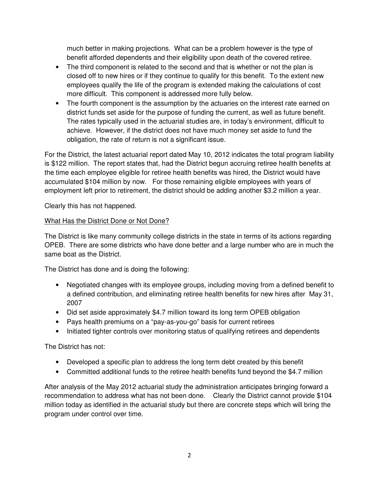much better in making projections. What can be a problem however is the type of benefit afforded dependents and their eligibility upon death of the covered retiree.

- The third component is related to the second and that is whether or not the plan is closed off to new hires or if they continue to qualify for this benefit. To the extent new employees qualify the life of the program is extended making the calculations of cost more difficult. This component is addressed more fully below.
- The fourth component is the assumption by the actuaries on the interest rate earned on district funds set aside for the purpose of funding the current, as well as future benefit. The rates typically used in the actuarial studies are, in today's environment, difficult to achieve. However, if the district does not have much money set aside to fund the obligation, the rate of return is not a significant issue.

For the District, the latest actuarial report dated May 10, 2012 indicates the total program liability is \$122 million. The report states that, had the District begun accruing retiree health benefits at the time each employee eligible for retiree health benefits was hired, the District would have accumulated \$104 million by now. For those remaining eligible employees with years of employment left prior to retirement, the district should be adding another \$3.2 million a year.

Clearly this has not happened.

## What Has the District Done or Not Done?

The District is like many community college districts in the state in terms of its actions regarding OPEB. There are some districts who have done better and a large number who are in much the same boat as the District.

The District has done and is doing the following:

- Negotiated changes with its employee groups, including moving from a defined benefit to a defined contribution, and eliminating retiree health benefits for new hires after May 31, 2007
- Did set aside approximately \$4.7 million toward its long term OPEB obligation
- Pays health premiums on a "pay-as-you-go" basis for current retirees
- Initiated tighter controls over monitoring status of qualifying retirees and dependents

The District has not:

- Developed a specific plan to address the long term debt created by this benefit
- Committed additional funds to the retiree health benefits fund beyond the \$4.7 million

After analysis of the May 2012 actuarial study the administration anticipates bringing forward a recommendation to address what has not been done. Clearly the District cannot provide \$104 million today as identified in the actuarial study but there are concrete steps which will bring the program under control over time.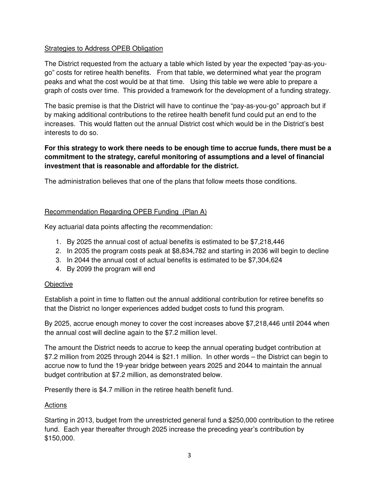### **Strategies to Address OPEB Obligation**

The District requested from the actuary a table which listed by year the expected "pay-as-yougo" costs for retiree health benefits. From that table, we determined what year the program peaks and what the cost would be at that time. Using this table we were able to prepare a graph of costs over time. This provided a framework for the development of a funding strategy.

The basic premise is that the District will have to continue the "pay-as-you-go" approach but if by making additional contributions to the retiree health benefit fund could put an end to the increases. This would flatten out the annual District cost which would be in the District's best interests to do so.

## **For this strategy to work there needs to be enough time to accrue funds, there must be a commitment to the strategy, careful monitoring of assumptions and a level of financial investment that is reasonable and affordable for the district.**

The administration believes that one of the plans that follow meets those conditions.

## Recommendation Regarding OPEB Funding (Plan A)

Key actuarial data points affecting the recommendation:

- 1. By 2025 the annual cost of actual benefits is estimated to be \$7,218,446
- 2. In 2035 the program costs peak at \$8,834,782 and starting in 2036 will begin to decline
- 3. In 2044 the annual cost of actual benefits is estimated to be \$7,304,624
- 4. By 2099 the program will end

#### **Objective**

Establish a point in time to flatten out the annual additional contribution for retiree benefits so that the District no longer experiences added budget costs to fund this program.

By 2025, accrue enough money to cover the cost increases above \$7,218,446 until 2044 when the annual cost will decline again to the \$7.2 million level.

The amount the District needs to accrue to keep the annual operating budget contribution at \$7.2 million from 2025 through 2044 is \$21.1 million. In other words – the District can begin to accrue now to fund the 19-year bridge between years 2025 and 2044 to maintain the annual budget contribution at \$7.2 million, as demonstrated below.

Presently there is \$4.7 million in the retiree health benefit fund.

#### **Actions**

Starting in 2013, budget from the unrestricted general fund a \$250,000 contribution to the retiree fund. Each year thereafter through 2025 increase the preceding year's contribution by \$150,000.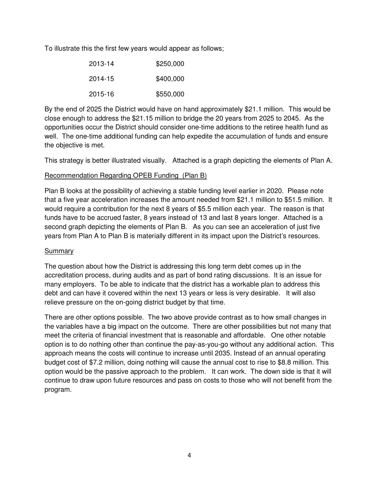To illustrate this the first few years would appear as follows;

| 2013-14 | \$250,000 |
|---------|-----------|
| 2014-15 | \$400,000 |
| 2015-16 | \$550,000 |

By the end of 2025 the District would have on hand approximately \$21.1 million. This would be close enough to address the \$21.15 million to bridge the 20 years from 2025 to 2045. As the opportunities occur the District should consider one-time additions to the retiree health fund as well. The one-time additional funding can help expedite the accumulation of funds and ensure the objective is met.

This strategy is better illustrated visually. Attached is a graph depicting the elements of Plan A.

### Recommendation Regarding OPEB Funding (Plan B)

Plan B looks at the possibility of achieving a stable funding level earlier in 2020. Please note that a five year acceleration increases the amount needed from \$21.1 million to \$51.5 million. It would require a contribution for the next 8 years of \$5.5 million each year. The reason is that funds have to be accrued faster, 8 years instead of 13 and last 8 years longer. Attached is a second graph depicting the elements of Plan B. As you can see an acceleration of just five years from Plan A to Plan B is materially different in its impact upon the District's resources.

## Summary

The question about how the District is addressing this long term debt comes up in the accreditation process, during audits and as part of bond rating discussions. It is an issue for many employers. To be able to indicate that the district has a workable plan to address this debt and can have it covered within the next 13 years or less is very desirable. It will also relieve pressure on the on-going district budget by that time.

There are other options possible. The two above provide contrast as to how small changes in the variables have a big impact on the outcome. There are other possibilities but not many that meet the criteria of financial investment that is reasonable and affordable. One other notable option is to do nothing other than continue the pay-as-you-go without any additional action. This approach means the costs will continue to increase until 2035. Instead of an annual operating budget cost of \$7.2 million, doing nothing will cause the annual cost to rise to \$8.8 million. This option would be the passive approach to the problem. It can work. The down side is that it will continue to draw upon future resources and pass on costs to those who will not benefit from the program.